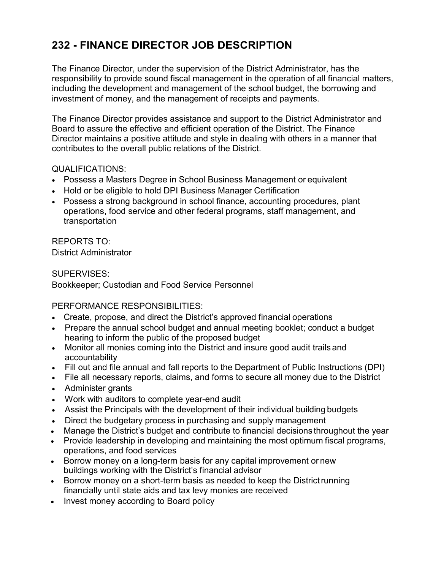## **232 - FINANCE DIRECTOR JOB DESCRIPTION**

The Finance Director, under the supervision of the District Administrator, has the responsibility to provide sound fiscal management in the operation of all financial matters, including the development and management of the school budget, the borrowing and investment of money, and the management of receipts and payments.

The Finance Director provides assistance and support to the District Administrator and Board to assure the effective and efficient operation of the District. The Finance Director maintains a positive attitude and style in dealing with others in a manner that contributes to the overall public relations of the District.

## QUALIFICATIONS:

- Possess a Masters Degree in School Business Management or equivalent
- Hold or be eligible to hold DPI Business Manager Certification
- Possess a strong background in school finance, accounting procedures, plant operations, food service and other federal programs, staff management, and transportation

REPORTS TO: District Administrator

## SUPERVISES: Bookkeeper; Custodian and Food Service Personnel

PERFORMANCE RESPONSIBILITIES:

- Create, propose, and direct the District's approved financial operations
- Prepare the annual school budget and annual meeting booklet; conduct a budget hearing to inform the public of the proposed budget
- Monitor all monies coming into the District and insure good audit trails and accountability
- Fill out and file annual and fall reports to the Department of Public Instructions (DPI)
- File all necessary reports, claims, and forms to secure all money due to the District
- Administer grants
- Work with auditors to complete year-end audit
- Assist the Principals with the development of their individual building budgets
- Direct the budgetary process in purchasing and supply management
- Manage the District's budget and contribute to financial decisions throughout the year
- Provide leadership in developing and maintaining the most optimum fiscal programs, operations, and food services
- Borrow money on a long-term basis for any capital improvement or new buildings working with the District's financial advisor
- Borrow money on a short-term basis as needed to keep the District running financially until state aids and tax levy monies are received
- Invest money according to Board policy